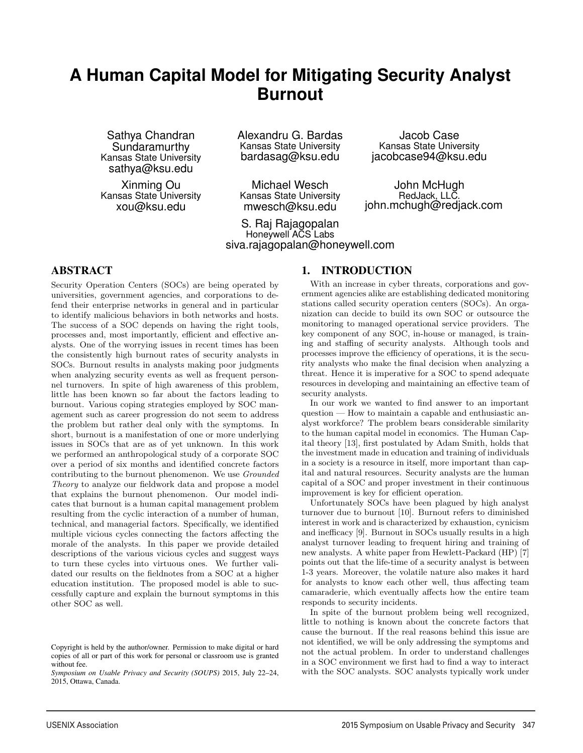# **A Human Capital Model for Mitigating Security Analyst Burnout**

Sathya Chandran Sundaramurthy Kansas State University sathya@ksu.edu

Xinming Ou Kansas State University xou@ksu.edu

Alexandru G. Bardas Kansas State University bardasag@ksu.edu

Michael Wesch Kansas State University mwesch@ksu.edu

1

S. Raj Rajagopalan Honeywell ACS Labs siva.rajagopalan@honeywell.com

#### ABSTRACT

Security Operation Centers (SOCs) are being operated by universities, government agencies, and corporations to defend their enterprise networks in general and in particular to identify malicious behaviors in both networks and hosts. The success of a SOC depends on having the right tools, processes and, most importantly, efficient and effective analysts. One of the worrying issues in recent times has been the consistently high burnout rates of security analysts in SOCs. Burnout results in analysts making poor judgments when analyzing security events as well as frequent personnel turnovers. In spite of high awareness of this problem, little has been known so far about the factors leading to burnout. Various coping strategies employed by SOC management such as career progression do not seem to address the problem but rather deal only with the symptoms. In short, burnout is a manifestation of one or more underlying issues in SOCs that are as of yet unknown. In this work we performed an anthropological study of a corporate SOC over a period of six months and identified concrete factors contributing to the burnout phenomenon. We use Grounded Theory to analyze our fieldwork data and propose a model that explains the burnout phenomenon. Our model indicates that burnout is a human capital management problem resulting from the cyclic interaction of a number of human, technical, and managerial factors. Specifically, we identified multiple vicious cycles connecting the factors affecting the morale of the analysts. In this paper we provide detailed descriptions of the various vicious cycles and suggest ways to turn these cycles into virtuous ones. We further validated our results on the fieldnotes from a SOC at a higher education institution. The proposed model is able to successfully capture and explain the burnout symptoms in this other SOC as well.

#### 1. INTRODUCTION

With an increase in cyber threats, corporations and government agencies alike are establishing dedicated monitoring stations called security operation centers (SOCs). An organization can decide to build its own SOC or outsource the monitoring to managed operational service providers. The key component of any SOC, in-house or managed, is training and staffing of security analysts. Although tools and processes improve the efficiency of operations, it is the security analysts who make the final decision when analyzing a threat. Hence it is imperative for a SOC to spend adequate resources in developing and maintaining an effective team of security analysts.

Jacob Case Kansas State University jacobcase94@ksu.edu

John McHugh RedJack, LLC. john.mchugh@redjack.com

In our work we wanted to find answer to an important question — How to maintain a capable and enthusiastic analyst workforce? The problem bears considerable similarity to the human capital model in economics. The Human Capital theory [13], first postulated by Adam Smith, holds that the investment made in education and training of individuals in a society is a resource in itself, more important than capital and natural resources. Security analysts are the human capital of a SOC and proper investment in their continuous improvement is key for efficient operation.

Unfortunately SOCs have been plagued by high analyst turnover due to burnout [10]. Burnout refers to diminished interest in work and is characterized by exhaustion, cynicism and inefficacy [9]. Burnout in SOCs usually results in a high analyst turnover leading to frequent hiring and training of new analysts. A white paper from Hewlett-Packard (HP) [7] points out that the life-time of a security analyst is between 1-3 years. Moreover, the volatile nature also makes it hard for analysts to know each other well, thus affecting team camaraderie, which eventually affects how the entire team responds to security incidents.

In spite of the burnout problem being well recognized, little to nothing is known about the concrete factors that cause the burnout. If the real reasons behind this issue are not identified, we will be only addressing the symptoms and not the actual problem. In order to understand challenges in a SOC environment we first had to find a way to interact with the SOC analysts. SOC analysts typically work under

Copyright is held by the author/owner. Permission to make digital or hard copies of all or part of this work for personal or classroom use is granted without fee.

*Symposium on Usable Privacy and Security (SOUPS)* 2015, July 22–24, 2015, Ottawa, Canada.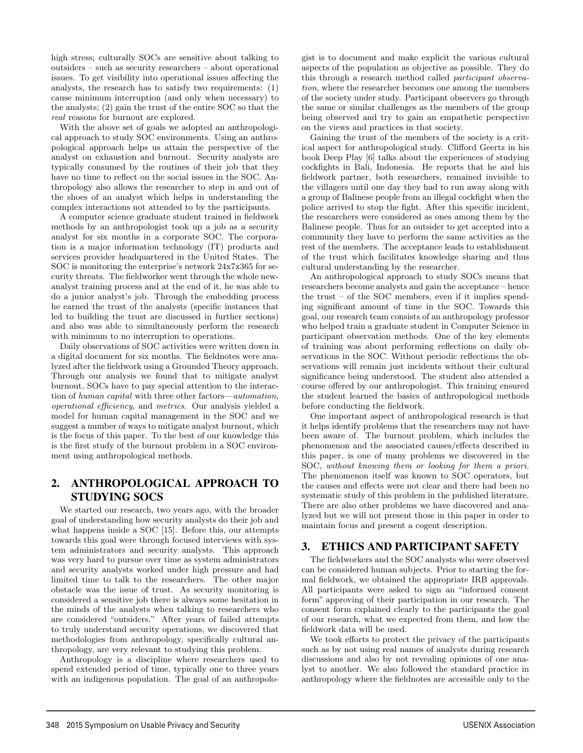high stress; culturally SOCs are sensitive about talking to outsiders – such as security researchers – about operational issues. To get visibility into operational issues affecting the analysts, the research has to satisfy two requirements: (1) cause minimum interruption (and only when necessary) to the analysts; (2) gain the trust of the entire SOC so that the real reasons for burnout are explored.

With the above set of goals we adopted an anthropological approach to study SOC environments. Using an anthropological approach helps us attain the perspective of the analyst on exhaustion and burnout. Security analysts are typically consumed by the routines of their job that they have no time to reflect on the social issues in the SOC. Anthropology also allows the researcher to step in and out of the shoes of an analyst which helps in understanding the complex interactions not attended to by the participants.

A computer science graduate student trained in fieldwork methods by an anthropologist took up a job as a security analyst for six months in a corporate SOC. The corporation is a major information technology (IT) products and services provider headquartered in the United States. The SOC is monitoring the enterprise's network 24x7x365 for security threats. The fieldworker went through the whole newanalyst training process and at the end of it, he was able to do a junior analyst's job. Through the embedding process he earned the trust of the analysts (specific instances that led to building the trust are discussed in further sections) and also was able to simultaneously perform the research with minimum to no interruption to operations.

Daily observations of SOC activities were written down in a digital document for six months. The fieldnotes were analyzed after the fieldwork using a Grounded Theory approach. Through our analysis we found that to mitigate analyst burnout, SOCs have to pay special attention to the interaction of human capital with three other factors—automation, operational efficiency, and metrics. Our analysis yielded a model for human capital management in the SOC and we suggest a number of ways to mitigate analyst burnout, which is the focus of this paper. To the best of our knowledge this is the first study of the burnout problem in a SOC environment using anthropological methods.

# 2. ANTHROPOLOGICAL APPROACH TO STUDYING SOCS

We started our research, two years ago, with the broader goal of understanding how security analysts do their job and what happens inside a SOC [15]. Before this, our attempts towards this goal were through focused interviews with system administrators and security analysts. This approach was very hard to pursue over time as system administrators and security analysts worked under high pressure and had limited time to talk to the researchers. The other major obstacle was the issue of trust. As security monitoring is considered a sensitive job there is always some hesitation in the minds of the analysts when talking to researchers who are considered "outsiders." After years of failed attempts to truly understand security operations, we discovered that methodologies from anthropology, specifically cultural anthropology, are very relevant to studying this problem.

Anthropology is a discipline where researchers used to spend extended period of time, typically one to three years with an indigenous population. The goal of an anthropolo-

2

gist is to document and make explicit the various cultural aspects of the population as objective as possible. They do this through a research method called participant observation, where the researcher becomes one among the members of the society under study. Participant observers go through the same or similar challenges as the members of the group being observed and try to gain an empathetic perspective on the views and practices in that society.

Gaining the trust of the members of the society is a critical aspect for anthropological study. Clifford Geertz in his book Deep Play [6] talks about the experiences of studying cockfights in Bali, Indonesia. He reports that he and his fieldwork partner, both researchers, remained invisible to the villagers until one day they had to run away along with a group of Balinese people from an illegal cockfight when the police arrived to stop the fight. After this specific incident, the researchers were considered as ones among them by the Balinese people. Thus for an outsider to get accepted into a community they have to perform the same activities as the rest of the members. The acceptance leads to establishment of the trust which facilitates knowledge sharing and thus cultural understanding by the researcher.

An anthropological approach to study SOCs means that researchers become analysts and gain the acceptance – hence the trust – of the SOC members, even if it implies spending significant amount of time in the SOC. Towards this goal, our research team consists of an anthropology professor who helped train a graduate student in Computer Science in participant observation methods. One of the key elements of training was about performing reflections on daily observations in the SOC. Without periodic reflections the observations will remain just incidents without their cultural significance being understood. The student also attended a course offered by our anthropologist. This training ensured the student learned the basics of anthropological methods before conducting the fieldwork.

One important aspect of anthropological research is that it helps identify problems that the researchers may not have been aware of. The burnout problem, which includes the phenomenon and the associated causes/effects described in this paper, is one of many problems we discovered in the SOC, without knowing them or looking for them a priori. The phenomenon itself was known to SOC operators, but the causes and effects were not clear and there had been no systematic study of this problem in the published literature. There are also other problems we have discovered and analyzed but we will not present those in this paper in order to maintain focus and present a cogent description.

# 3. ETHICS AND PARTICIPANT SAFETY

The fieldworkers and the SOC analysts who were observed can be considered human subjects. Prior to starting the formal fieldwork, we obtained the appropriate IRB approvals. All participants were asked to sign an "informed consent form" approving of their participation in our research. The consent form explained clearly to the participants the goal of our research, what we expected from them, and how the fieldwork data will be used.

We took efforts to protect the privacy of the participants such as by not using real names of analysts during research discussions and also by not revealing opinions of one analyst to another. We also followed the standard practice in anthropology where the fieldnotes are accessible only to the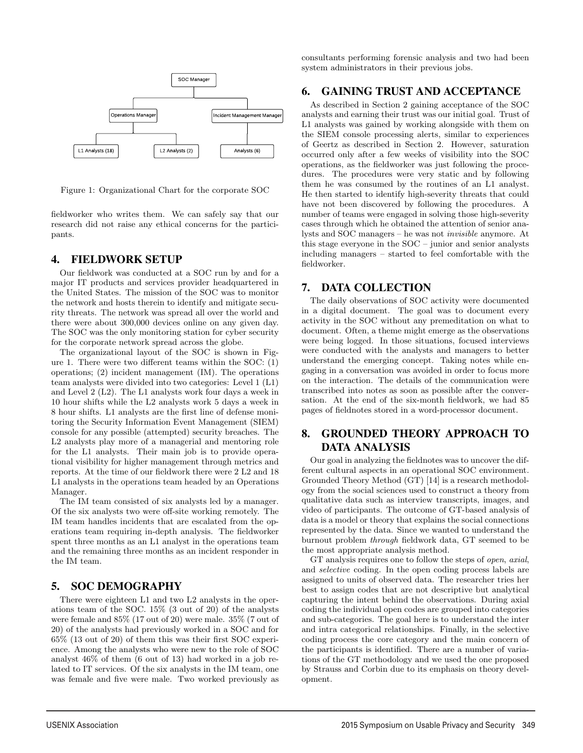

Figure 1: Organizational Chart for the corporate SOC

fieldworker who writes them. We can safely say that our research did not raise any ethical concerns for the participants.

### 4. FIELDWORK SETUP

Our fieldwork was conducted at a SOC run by and for a major IT products and services provider headquartered in the United States. The mission of the SOC was to monitor the network and hosts therein to identify and mitigate security threats. The network was spread all over the world and there were about 300,000 devices online on any given day. The SOC was the only monitoring station for cyber security for the corporate network spread across the globe.

The organizational layout of the SOC is shown in Figure 1. There were two different teams within the SOC: (1) operations; (2) incident management (IM). The operations team analysts were divided into two categories: Level 1 (L1) and Level 2 (L2). The L1 analysts work four days a week in 10 hour shifts while the L2 analysts work 5 days a week in 8 hour shifts. L1 analysts are the first line of defense monitoring the Security Information Event Management (SIEM) console for any possible (attempted) security breaches. The L2 analysts play more of a managerial and mentoring role for the L1 analysts. Their main job is to provide operational visibility for higher management through metrics and reports. At the time of our fieldwork there were 2 L2 and 18 L1 analysts in the operations team headed by an Operations Manager.

The IM team consisted of six analysts led by a manager. Of the six analysts two were off-site working remotely. The IM team handles incidents that are escalated from the operations team requiring in-depth analysis. The fieldworker spent three months as an L1 analyst in the operations team and the remaining three months as an incident responder in the IM team.

### 5. SOC DEMOGRAPHY

There were eighteen L1 and two L2 analysts in the operations team of the SOC. 15% (3 out of 20) of the analysts were female and 85% (17 out of 20) were male. 35% (7 out of 20) of the analysts had previously worked in a SOC and for 65% (13 out of 20) of them this was their first SOC experience. Among the analysts who were new to the role of SOC analyst 46% of them (6 out of 13) had worked in a job related to IT services. Of the six analysts in the IM team, one was female and five were male. Two worked previously as

3

consultants performing forensic analysis and two had been system administrators in their previous jobs.

### 6. GAINING TRUST AND ACCEPTANCE

As described in Section 2 gaining acceptance of the SOC analysts and earning their trust was our initial goal. Trust of L1 analysts was gained by working alongside with them on the SIEM console processing alerts, similar to experiences of Geertz as described in Section 2. However, saturation occurred only after a few weeks of visibility into the SOC operations, as the fieldworker was just following the procedures. The procedures were very static and by following them he was consumed by the routines of an L1 analyst. He then started to identify high-severity threats that could have not been discovered by following the procedures. A number of teams were engaged in solving those high-severity cases through which he obtained the attention of senior analysts and SOC managers – he was not invisible anymore. At this stage everyone in the SOC – junior and senior analysts including managers – started to feel comfortable with the fieldworker.

### 7. DATA COLLECTION

The daily observations of SOC activity were documented in a digital document. The goal was to document every activity in the SOC without any premeditation on what to document. Often, a theme might emerge as the observations were being logged. In those situations, focused interviews were conducted with the analysts and managers to better understand the emerging concept. Taking notes while engaging in a conversation was avoided in order to focus more on the interaction. The details of the communication were transcribed into notes as soon as possible after the conversation. At the end of the six-month fieldwork, we had 85 pages of fieldnotes stored in a word-processor document.

# 8. GROUNDED THEORY APPROACH TO DATA ANALYSIS

Our goal in analyzing the fieldnotes was to uncover the different cultural aspects in an operational SOC environment. Grounded Theory Method (GT) [14] is a research methodology from the social sciences used to construct a theory from qualitative data such as interview transcripts, images, and video of participants. The outcome of GT-based analysis of data is a model or theory that explains the social connections represented by the data. Since we wanted to understand the burnout problem through fieldwork data, GT seemed to be the most appropriate analysis method.

GT analysis requires one to follow the steps of open, axial, and selective coding. In the open coding process labels are assigned to units of observed data. The researcher tries her best to assign codes that are not descriptive but analytical capturing the intent behind the observations. During axial coding the individual open codes are grouped into categories and sub-categories. The goal here is to understand the inter and intra categorical relationships. Finally, in the selective coding process the core category and the main concern of the participants is identified. There are a number of variations of the GT methodology and we used the one proposed by Strauss and Corbin due to its emphasis on theory development.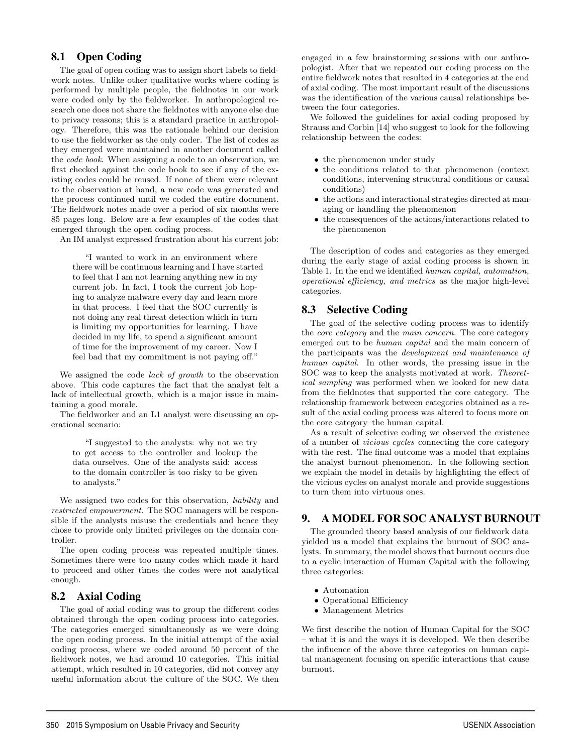# 8.1 Open Coding

The goal of open coding was to assign short labels to fieldwork notes. Unlike other qualitative works where coding is performed by multiple people, the fieldnotes in our work were coded only by the fieldworker. In anthropological research one does not share the fieldnotes with anyone else due to privacy reasons; this is a standard practice in anthropology. Therefore, this was the rationale behind our decision to use the fieldworker as the only coder. The list of codes as they emerged were maintained in another document called the code book. When assigning a code to an observation, we first checked against the code book to see if any of the existing codes could be reused. If none of them were relevant to the observation at hand, a new code was generated and the process continued until we coded the entire document. The fieldwork notes made over a period of six months were 85 pages long. Below are a few examples of the codes that emerged through the open coding process.

An IM analyst expressed frustration about his current job:

"I wanted to work in an environment where there will be continuous learning and I have started to feel that I am not learning anything new in my current job. In fact, I took the current job hoping to analyze malware every day and learn more in that process. I feel that the SOC currently is not doing any real threat detection which in turn is limiting my opportunities for learning. I have decided in my life, to spend a significant amount of time for the improvement of my career. Now I feel bad that my commitment is not paying off."

We assigned the code lack of growth to the observation above. This code captures the fact that the analyst felt a lack of intellectual growth, which is a major issue in maintaining a good morale.

The fieldworker and an L1 analyst were discussing an operational scenario:

"I suggested to the analysts: why not we try to get access to the controller and lookup the data ourselves. One of the analysts said: access to the domain controller is too risky to be given to analysts."

We assigned two codes for this observation, liability and restricted empowerment. The SOC managers will be responsible if the analysts misuse the credentials and hence they chose to provide only limited privileges on the domain controller.

The open coding process was repeated multiple times. Sometimes there were too many codes which made it hard to proceed and other times the codes were not analytical enough.

### 8.2 Axial Coding

The goal of axial coding was to group the different codes obtained through the open coding process into categories. The categories emerged simultaneously as we were doing the open coding process. In the initial attempt of the axial coding process, where we coded around 50 percent of the fieldwork notes, we had around 10 categories. This initial attempt, which resulted in 10 categories, did not convey any useful information about the culture of the SOC. We then engaged in a few brainstorming sessions with our anthropologist. After that we repeated our coding process on the entire fieldwork notes that resulted in 4 categories at the end of axial coding. The most important result of the discussions was the identification of the various causal relationships between the four categories.

We followed the guidelines for axial coding proposed by Strauss and Corbin [14] who suggest to look for the following relationship between the codes:

- the phenomenon under study
- the conditions related to that phenomenon (context conditions, intervening structural conditions or causal conditions)
- the actions and interactional strategies directed at managing or handling the phenomenon
- the consequences of the actions/interactions related to the phenomenon

The description of codes and categories as they emerged during the early stage of axial coding process is shown in Table 1. In the end we identified human capital, automation, operational efficiency, and metrics as the major high-level categories.

# 8.3 Selective Coding

The goal of the selective coding process was to identify the core category and the main concern. The core category emerged out to be human capital and the main concern of the participants was the development and maintenance of human capital. In other words, the pressing issue in the SOC was to keep the analysts motivated at work. Theoretical sampling was performed when we looked for new data from the fieldnotes that supported the core category. The relationship framework between categories obtained as a result of the axial coding process was altered to focus more on the core category–the human capital.

As a result of selective coding we observed the existence of a number of vicious cycles connecting the core category with the rest. The final outcome was a model that explains the analyst burnout phenomenon. In the following section we explain the model in details by highlighting the effect of the vicious cycles on analyst morale and provide suggestions to turn them into virtuous ones.

# 9. A MODEL FOR SOC ANALYST BURNOUT

The grounded theory based analysis of our fieldwork data yielded us a model that explains the burnout of SOC analysts. In summary, the model shows that burnout occurs due to a cyclic interaction of Human Capital with the following three categories:

• Automation

4

- Operational Efficiency
- Management Metrics

We first describe the notion of Human Capital for the SOC – what it is and the ways it is developed. We then describe the influence of the above three categories on human capital management focusing on specific interactions that cause burnout.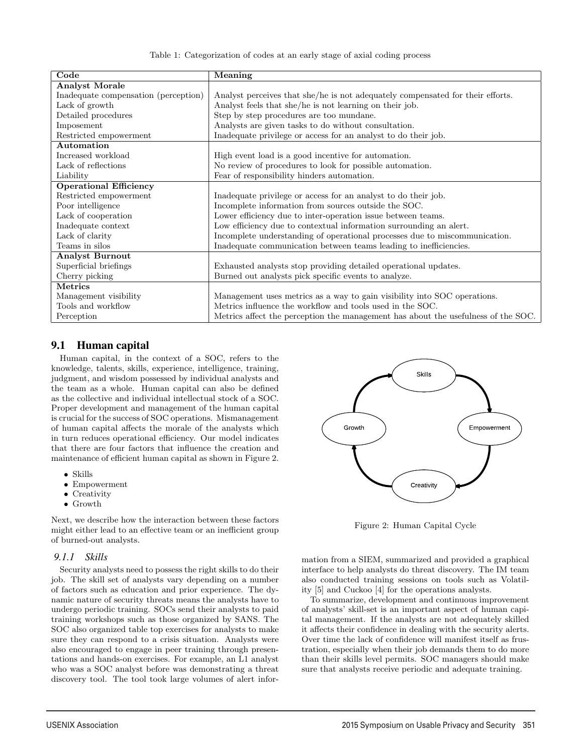Table 1: Categorization of codes at an early stage of axial coding process

| Code                                 | Meaning                                                                           |  |
|--------------------------------------|-----------------------------------------------------------------------------------|--|
| <b>Analyst Morale</b>                |                                                                                   |  |
| Inadequate compensation (perception) | Analyst perceives that she/he is not adequately compensated for their efforts.    |  |
| Lack of growth                       | Analyst feels that she/he is not learning on their job.                           |  |
| Detailed procedures                  | Step by step procedures are too mundane.                                          |  |
| Imposement                           | Analysts are given tasks to do without consultation.                              |  |
| Restricted empowerment               | Inadequate privilege or access for an analyst to do their job.                    |  |
| Automation                           |                                                                                   |  |
| Increased workload                   | High event load is a good incentive for automation.                               |  |
| Lack of reflections                  | No review of procedures to look for possible automation.                          |  |
| Liability                            | Fear of responsibility hinders automation.                                        |  |
| <b>Operational Efficiency</b>        |                                                                                   |  |
| Restricted empowerment               | Inadequate privilege or access for an analyst to do their job.                    |  |
| Poor intelligence                    | Incomplete information from sources outside the SOC.                              |  |
| Lack of cooperation                  | Lower efficiency due to inter-operation issue between teams.                      |  |
| Inadequate context                   | Low efficiency due to contextual information surrounding an alert.                |  |
| Lack of clarity                      | Incomplete understanding of operational processes due to miscommunication.        |  |
| Teams in silos                       | Inadequate communication between teams leading to inefficiencies.                 |  |
| <b>Analyst Burnout</b>               |                                                                                   |  |
| Superficial briefings                | Exhausted analysts stop providing detailed operational updates.                   |  |
| Cherry picking                       | Burned out analysts pick specific events to analyze.                              |  |
| <b>Metrics</b>                       |                                                                                   |  |
| Management visibility                | Management uses metrics as a way to gain visibility into SOC operations.          |  |
| Tools and workflow                   | Metrics influence the workflow and tools used in the SOC.                         |  |
| Perception                           | Metrics affect the perception the management has about the usefulness of the SOC. |  |

5

# 9.1 Human capital

Human capital, in the context of a SOC, refers to the knowledge, talents, skills, experience, intelligence, training, judgment, and wisdom possessed by individual analysts and the team as a whole. Human capital can also be defined as the collective and individual intellectual stock of a SOC. Proper development and management of the human capital is crucial for the success of SOC operations. Mismanagement of human capital affects the morale of the analysts which in turn reduces operational efficiency. Our model indicates that there are four factors that influence the creation and maintenance of efficient human capital as shown in Figure 2.

- Skills
- Empowerment
- Creativity
- Growth

Next, we describe how the interaction between these factors might either lead to an effective team or an inefficient group of burned-out analysts.

#### *9.1.1 Skills*

Security analysts need to possess the right skills to do their job. The skill set of analysts vary depending on a number of factors such as education and prior experience. The dynamic nature of security threats means the analysts have to undergo periodic training. SOCs send their analysts to paid training workshops such as those organized by SANS. The SOC also organized table top exercises for analysts to make sure they can respond to a crisis situation. Analysts were also encouraged to engage in peer training through presentations and hands-on exercises. For example, an L1 analyst who was a SOC analyst before was demonstrating a threat discovery tool. The tool took large volumes of alert infor-



Figure 2: Human Capital Cycle

mation from a SIEM, summarized and provided a graphical interface to help analysts do threat discovery. The IM team also conducted training sessions on tools such as Volatility [5] and Cuckoo [4] for the operations analysts.

To summarize, development and continuous improvement of analysts' skill-set is an important aspect of human capital management. If the analysts are not adequately skilled it affects their confidence in dealing with the security alerts. Over time the lack of confidence will manifest itself as frustration, especially when their job demands them to do more than their skills level permits. SOC managers should make sure that analysts receive periodic and adequate training.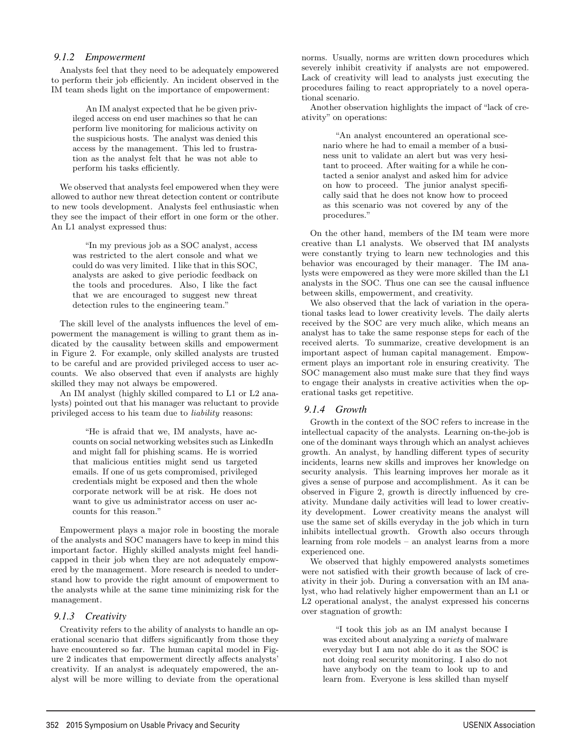#### *9.1.2 Empowerment*

Analysts feel that they need to be adequately empowered to perform their job efficiently. An incident observed in the IM team sheds light on the importance of empowerment:

An IM analyst expected that he be given privileged access on end user machines so that he can perform live monitoring for malicious activity on the suspicious hosts. The analyst was denied this access by the management. This led to frustration as the analyst felt that he was not able to perform his tasks efficiently.

We observed that analysts feel empowered when they were allowed to author new threat detection content or contribute to new tools development. Analysts feel enthusiastic when they see the impact of their effort in one form or the other. An L1 analyst expressed thus:

"In my previous job as a SOC analyst, access was restricted to the alert console and what we could do was very limited. I like that in this SOC, analysts are asked to give periodic feedback on the tools and procedures. Also, I like the fact that we are encouraged to suggest new threat detection rules to the engineering team."

The skill level of the analysts influences the level of empowerment the management is willing to grant them as indicated by the causality between skills and empowerment in Figure 2. For example, only skilled analysts are trusted to be careful and are provided privileged access to user accounts. We also observed that even if analysts are highly skilled they may not always be empowered.

An IM analyst (highly skilled compared to L1 or L2 analysts) pointed out that his manager was reluctant to provide privileged access to his team due to liability reasons:

"He is afraid that we, IM analysts, have accounts on social networking websites such as LinkedIn and might fall for phishing scams. He is worried that malicious entities might send us targeted emails. If one of us gets compromised, privileged credentials might be exposed and then the whole corporate network will be at risk. He does not want to give us administrator access on user accounts for this reason."

Empowerment plays a major role in boosting the morale of the analysts and SOC managers have to keep in mind this important factor. Highly skilled analysts might feel handicapped in their job when they are not adequately empowered by the management. More research is needed to understand how to provide the right amount of empowerment to the analysts while at the same time minimizing risk for the management.

#### *9.1.3 Creativity*

Creativity refers to the ability of analysts to handle an operational scenario that differs significantly from those they have encountered so far. The human capital model in Figure 2 indicates that empowerment directly affects analysts' creativity. If an analyst is adequately empowered, the analyst will be more willing to deviate from the operational norms. Usually, norms are written down procedures which severely inhibit creativity if analysts are not empowered. Lack of creativity will lead to analysts just executing the procedures failing to react appropriately to a novel operational scenario.

Another observation highlights the impact of "lack of creativity" on operations:

"An analyst encountered an operational scenario where he had to email a member of a business unit to validate an alert but was very hesitant to proceed. After waiting for a while he contacted a senior analyst and asked him for advice on how to proceed. The junior analyst specifically said that he does not know how to proceed as this scenario was not covered by any of the procedures."

On the other hand, members of the IM team were more creative than L1 analysts. We observed that IM analysts were constantly trying to learn new technologies and this behavior was encouraged by their manager. The IM analysts were empowered as they were more skilled than the L1 analysts in the SOC. Thus one can see the causal influence between skills, empowerment, and creativity.

We also observed that the lack of variation in the operational tasks lead to lower creativity levels. The daily alerts received by the SOC are very much alike, which means an analyst has to take the same response steps for each of the received alerts. To summarize, creative development is an important aspect of human capital management. Empowerment plays an important role in ensuring creativity. The SOC management also must make sure that they find ways to engage their analysts in creative activities when the operational tasks get repetitive.

#### *9.1.4 Growth*

6

Growth in the context of the SOC refers to increase in the intellectual capacity of the analysts. Learning on-the-job is one of the dominant ways through which an analyst achieves growth. An analyst, by handling different types of security incidents, learns new skills and improves her knowledge on security analysis. This learning improves her morale as it gives a sense of purpose and accomplishment. As it can be observed in Figure 2, growth is directly influenced by creativity. Mundane daily activities will lead to lower creativity development. Lower creativity means the analyst will use the same set of skills everyday in the job which in turn inhibits intellectual growth. Growth also occurs through learning from role models – an analyst learns from a more experienced one.

We observed that highly empowered analysts sometimes were not satisfied with their growth because of lack of creativity in their job. During a conversation with an IM analyst, who had relatively higher empowerment than an L1 or L2 operational analyst, the analyst expressed his concerns over stagnation of growth:

"I took this job as an IM analyst because I was excited about analyzing a variety of malware everyday but I am not able do it as the SOC is not doing real security monitoring. I also do not have anybody on the team to look up to and learn from. Everyone is less skilled than myself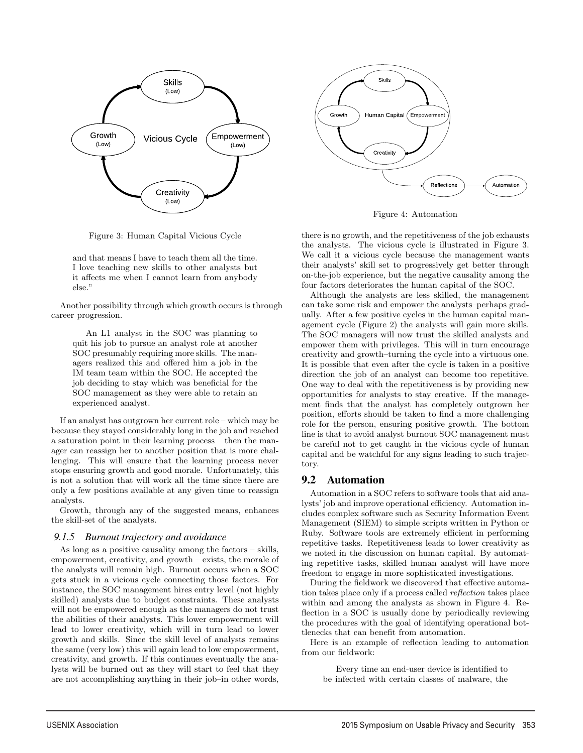



Figure 4: Automation

Figure 3: Human Capital Vicious Cycle

and that means I have to teach them all the time. I love teaching new skills to other analysts but it affects me when I cannot learn from anybody else."

Another possibility through which growth occurs is through career progression.

An L1 analyst in the SOC was planning to quit his job to pursue an analyst role at another SOC presumably requiring more skills. The managers realized this and offered him a job in the IM team team within the SOC. He accepted the job deciding to stay which was beneficial for the SOC management as they were able to retain an experienced analyst.

If an analyst has outgrown her current role – which may be because they stayed considerably long in the job and reached a saturation point in their learning process – then the manager can reassign her to another position that is more challenging. This will ensure that the learning process never stops ensuring growth and good morale. Unfortunately, this is not a solution that will work all the time since there are only a few positions available at any given time to reassign analysts.

Growth, through any of the suggested means, enhances the skill-set of the analysts.

#### *9.1.5 Burnout trajectory and avoidance*

As long as a positive causality among the factors – skills, empowerment, creativity, and growth – exists, the morale of the analysts will remain high. Burnout occurs when a SOC gets stuck in a vicious cycle connecting those factors. For instance, the SOC management hires entry level (not highly skilled) analysts due to budget constraints. These analysts will not be empowered enough as the managers do not trust the abilities of their analysts. This lower empowerment will lead to lower creativity, which will in turn lead to lower growth and skills. Since the skill level of analysts remains the same (very low) this will again lead to low empowerment, creativity, and growth. If this continues eventually the analysts will be burned out as they will start to feel that they are not accomplishing anything in their job–in other words,

there is no growth, and the repetitiveness of the job exhausts the analysts. The vicious cycle is illustrated in Figure 3. We call it a vicious cycle because the management wants their analysts' skill set to progressively get better through on-the-job experience, but the negative causality among the four factors deteriorates the human capital of the SOC.

Although the analysts are less skilled, the management can take some risk and empower the analysts–perhaps gradually. After a few positive cycles in the human capital management cycle (Figure 2) the analysts will gain more skills. The SOC managers will now trust the skilled analysts and empower them with privileges. This will in turn encourage creativity and growth–turning the cycle into a virtuous one. It is possible that even after the cycle is taken in a positive direction the job of an analyst can become too repetitive. One way to deal with the repetitiveness is by providing new opportunities for analysts to stay creative. If the management finds that the analyst has completely outgrown her position, efforts should be taken to find a more challenging role for the person, ensuring positive growth. The bottom line is that to avoid analyst burnout SOC management must be careful not to get caught in the vicious cycle of human capital and be watchful for any signs leading to such trajectory.

#### 9.2 Automation

7

Automation in a SOC refers to software tools that aid analysts' job and improve operational efficiency. Automation includes complex software such as Security Information Event Management (SIEM) to simple scripts written in Python or Ruby. Software tools are extremely efficient in performing repetitive tasks. Repetitiveness leads to lower creativity as we noted in the discussion on human capital. By automating repetitive tasks, skilled human analyst will have more freedom to engage in more sophisticated investigations.

During the fieldwork we discovered that effective automation takes place only if a process called reflection takes place within and among the analysts as shown in Figure 4. Reflection in a SOC is usually done by periodically reviewing the procedures with the goal of identifying operational bottlenecks that can benefit from automation.

Here is an example of reflection leading to automation from our fieldwork:

Every time an end-user device is identified to be infected with certain classes of malware, the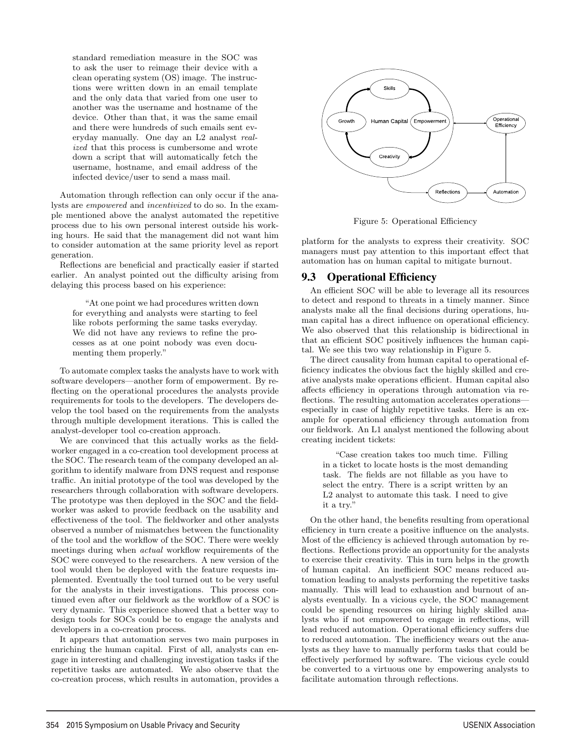standard remediation measure in the SOC was to ask the user to reimage their device with a clean operating system (OS) image. The instructions were written down in an email template and the only data that varied from one user to another was the username and hostname of the device. Other than that, it was the same email and there were hundreds of such emails sent everyday manually. One day an L2 analyst realized that this process is cumbersome and wrote down a script that will automatically fetch the username, hostname, and email address of the infected device/user to send a mass mail.

Automation through reflection can only occur if the analysts are empowered and incentivized to do so. In the example mentioned above the analyst automated the repetitive process due to his own personal interest outside his working hours. He said that the management did not want him to consider automation at the same priority level as report generation.

Reflections are beneficial and practically easier if started earlier. An analyst pointed out the difficulty arising from delaying this process based on his experience:

"At one point we had procedures written down for everything and analysts were starting to feel like robots performing the same tasks everyday. We did not have any reviews to refine the processes as at one point nobody was even documenting them properly."

To automate complex tasks the analysts have to work with software developers—another form of empowerment. By reflecting on the operational procedures the analysts provide requirements for tools to the developers. The developers develop the tool based on the requirements from the analysts through multiple development iterations. This is called the analyst-developer tool co-creation approach.

We are convinced that this actually works as the fieldworker engaged in a co-creation tool development process at the SOC. The research team of the company developed an algorithm to identify malware from DNS request and response traffic. An initial prototype of the tool was developed by the researchers through collaboration with software developers. The prototype was then deployed in the SOC and the fieldworker was asked to provide feedback on the usability and effectiveness of the tool. The fieldworker and other analysts observed a number of mismatches between the functionality of the tool and the workflow of the SOC. There were weekly meetings during when actual workflow requirements of the SOC were conveyed to the researchers. A new version of the tool would then be deployed with the feature requests implemented. Eventually the tool turned out to be very useful for the analysts in their investigations. This process continued even after our fieldwork as the workflow of a SOC is very dynamic. This experience showed that a better way to design tools for SOCs could be to engage the analysts and developers in a co-creation process.

It appears that automation serves two main purposes in enriching the human capital. First of all, analysts can engage in interesting and challenging investigation tasks if the repetitive tasks are automated. We also observe that the co-creation process, which results in automation, provides a

8



Figure 5: Operational Efficiency

platform for the analysts to express their creativity. SOC managers must pay attention to this important effect that automation has on human capital to mitigate burnout.

### 9.3 Operational Efficiency

An efficient SOC will be able to leverage all its resources to detect and respond to threats in a timely manner. Since analysts make all the final decisions during operations, human capital has a direct influence on operational efficiency. We also observed that this relationship is bidirectional in that an efficient SOC positively influences the human capital. We see this two way relationship in Figure 5.

The direct causality from human capital to operational efficiency indicates the obvious fact the highly skilled and creative analysts make operations efficient. Human capital also affects efficiency in operations through automation via reflections. The resulting automation accelerates operations especially in case of highly repetitive tasks. Here is an example for operational efficiency through automation from our fieldwork. An L1 analyst mentioned the following about creating incident tickets:

"Case creation takes too much time. Filling in a ticket to locate hosts is the most demanding task. The fields are not fillable as you have to select the entry. There is a script written by an L2 analyst to automate this task. I need to give it a try."

On the other hand, the benefits resulting from operational efficiency in turn create a positive influence on the analysts. Most of the efficiency is achieved through automation by reflections. Reflections provide an opportunity for the analysts to exercise their creativity. This in turn helps in the growth of human capital. An inefficient SOC means reduced automation leading to analysts performing the repetitive tasks manually. This will lead to exhaustion and burnout of analysts eventually. In a vicious cycle, the SOC management could be spending resources on hiring highly skilled analysts who if not empowered to engage in reflections, will lead reduced automation. Operational efficiency suffers due to reduced automation. The inefficiency wears out the analysts as they have to manually perform tasks that could be effectively performed by software. The vicious cycle could be converted to a virtuous one by empowering analysts to facilitate automation through reflections.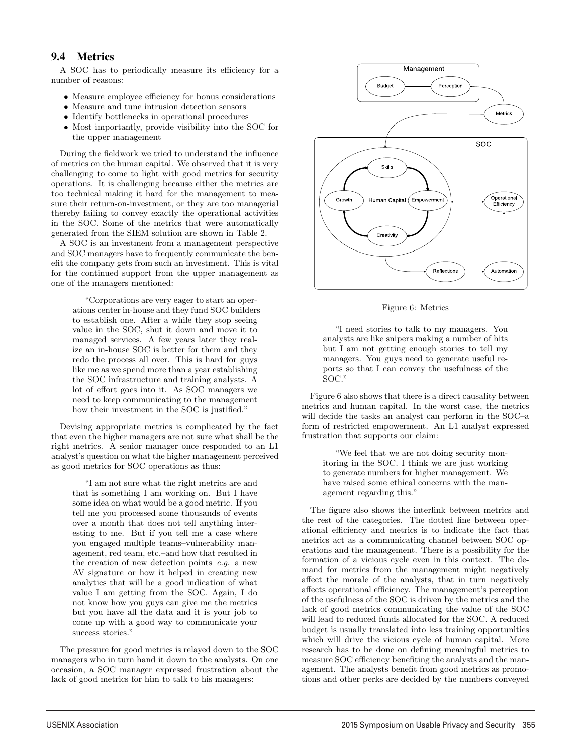# 9.4 Metrics

A SOC has to periodically measure its efficiency for a number of reasons:

- Measure employee efficiency for bonus considerations
- Measure and tune intrusion detection sensors
- Identify bottlenecks in operational procedures
- Most importantly, provide visibility into the SOC for the upper management

During the fieldwork we tried to understand the influence of metrics on the human capital. We observed that it is very challenging to come to light with good metrics for security operations. It is challenging because either the metrics are too technical making it hard for the management to measure their return-on-investment, or they are too managerial thereby failing to convey exactly the operational activities in the SOC. Some of the metrics that were automatically generated from the SIEM solution are shown in Table 2.

A SOC is an investment from a management perspective and SOC managers have to frequently communicate the benefit the company gets from such an investment. This is vital for the continued support from the upper management as one of the managers mentioned:

"Corporations are very eager to start an operations center in-house and they fund SOC builders to establish one. After a while they stop seeing value in the SOC, shut it down and move it to managed services. A few years later they realize an in-house SOC is better for them and they redo the process all over. This is hard for guys like me as we spend more than a year establishing the SOC infrastructure and training analysts. A lot of effort goes into it. As SOC managers we need to keep communicating to the management how their investment in the SOC is justified."

Devising appropriate metrics is complicated by the fact that even the higher managers are not sure what shall be the right metrics. A senior manager once responded to an L1 analyst's question on what the higher management perceived as good metrics for SOC operations as thus:

"I am not sure what the right metrics are and that is something I am working on. But I have some idea on what would be a good metric. If you tell me you processed some thousands of events over a month that does not tell anything interesting to me. But if you tell me a case where you engaged multiple teams–vulnerability management, red team, etc.–and how that resulted in the creation of new detection points–e.g. a new AV signature–or how it helped in creating new analytics that will be a good indication of what value I am getting from the SOC. Again, I do not know how you guys can give me the metrics but you have all the data and it is your job to come up with a good way to communicate your success stories."

The pressure for good metrics is relayed down to the SOC managers who in turn hand it down to the analysts. On one occasion, a SOC manager expressed frustration about the lack of good metrics for him to talk to his managers:

9



Figure 6: Metrics

"I need stories to talk to my managers. You analysts are like snipers making a number of hits but I am not getting enough stories to tell my managers. You guys need to generate useful reports so that I can convey the usefulness of the SOC."

Figure 6 also shows that there is a direct causality between metrics and human capital. In the worst case, the metrics will decide the tasks an analyst can perform in the SOC–a form of restricted empowerment. An L1 analyst expressed frustration that supports our claim:

"We feel that we are not doing security monitoring in the SOC. I think we are just working to generate numbers for higher management. We have raised some ethical concerns with the management regarding this."

The figure also shows the interlink between metrics and the rest of the categories. The dotted line between operational efficiency and metrics is to indicate the fact that metrics act as a communicating channel between SOC operations and the management. There is a possibility for the formation of a vicious cycle even in this context. The demand for metrics from the management might negatively affect the morale of the analysts, that in turn negatively affects operational efficiency. The management's perception of the usefulness of the SOC is driven by the metrics and the lack of good metrics communicating the value of the SOC will lead to reduced funds allocated for the SOC. A reduced budget is usually translated into less training opportunities which will drive the vicious cycle of human capital. More research has to be done on defining meaningful metrics to measure SOC efficiency benefiting the analysts and the management. The analysts benefit from good metrics as promotions and other perks are decided by the numbers conveyed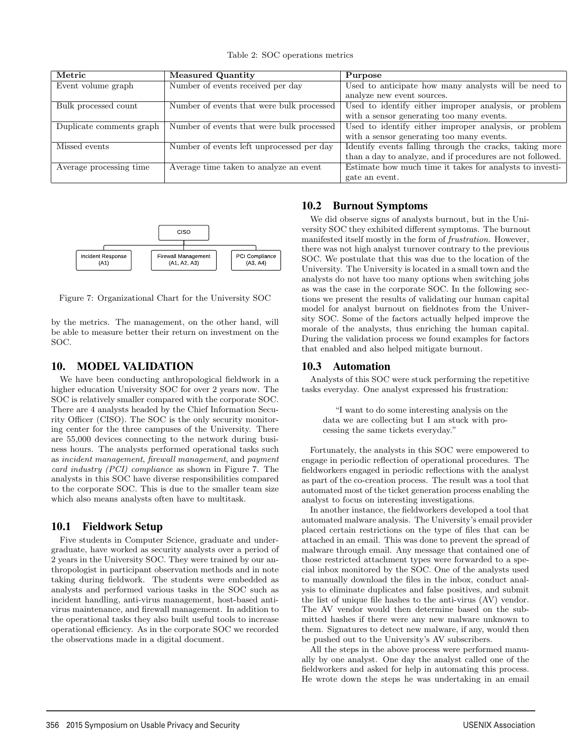Table 2: SOC operations metrics

| Metric                   | <b>Measured Quantity</b>                  | Purpose                                                    |
|--------------------------|-------------------------------------------|------------------------------------------------------------|
| Event volume graph       | Number of events received per day         | Used to anticipate how many analysts will be need to       |
|                          |                                           | analyze new event sources.                                 |
| Bulk processed count     | Number of events that were bulk processed | Used to identify either improper analysis, or problem      |
|                          |                                           | with a sensor generating too many events.                  |
| Duplicate comments graph | Number of events that were bulk processed | Used to identify either improper analysis, or problem      |
|                          |                                           | with a sensor generating too many events.                  |
| Missed events            | Number of events left unprocessed per day | Identify events falling through the cracks, taking more    |
|                          |                                           | than a day to analyze, and if procedures are not followed. |
| Average processing time  | Average time taken to analyze an event    | Estimate how much time it takes for analysts to investi-   |
|                          |                                           | gate an event.                                             |



Figure 7: Organizational Chart for the University SOC

by the metrics. The management, on the other hand, will be able to measure better their return on investment on the SOC.

### 10. MODEL VALIDATION

We have been conducting anthropological fieldwork in a higher education University SOC for over 2 years now. The SOC is relatively smaller compared with the corporate SOC. There are 4 analysts headed by the Chief Information Security Officer (CISO). The SOC is the only security monitoring center for the three campuses of the University. There are 55,000 devices connecting to the network during business hours. The analysts performed operational tasks such as incident management, firewall management, and payment card industry (PCI) compliance as shown in Figure 7. The analysts in this SOC have diverse responsibilities compared to the corporate SOC. This is due to the smaller team size which also means analysts often have to multitask.

### 10.1 Fieldwork Setup

Five students in Computer Science, graduate and undergraduate, have worked as security analysts over a period of 2 years in the University SOC. They were trained by our anthropologist in participant observation methods and in note taking during fieldwork. The students were embedded as analysts and performed various tasks in the SOC such as incident handling, anti-virus management, host-based antivirus maintenance, and firewall management. In addition to the operational tasks they also built useful tools to increase operational efficiency. As in the corporate SOC we recorded the observations made in a digital document.

# 10.2 Burnout Symptoms

We did observe signs of analysts burnout, but in the University SOC they exhibited different symptoms. The burnout manifested itself mostly in the form of frustration. However, there was not high analyst turnover contrary to the previous SOC. We postulate that this was due to the location of the University. The University is located in a small town and the analysts do not have too many options when switching jobs as was the case in the corporate SOC. In the following sections we present the results of validating our human capital model for analyst burnout on fieldnotes from the University SOC. Some of the factors actually helped improve the morale of the analysts, thus enriching the human capital. During the validation process we found examples for factors that enabled and also helped mitigate burnout.

# 10.3 Automation

10

Analysts of this SOC were stuck performing the repetitive tasks everyday. One analyst expressed his frustration:

"I want to do some interesting analysis on the data we are collecting but I am stuck with processing the same tickets everyday."

Fortunately, the analysts in this SOC were empowered to engage in periodic reflection of operational procedures. The fieldworkers engaged in periodic reflections with the analyst as part of the co-creation process. The result was a tool that automated most of the ticket generation process enabling the analyst to focus on interesting investigations.

In another instance, the fieldworkers developed a tool that automated malware analysis. The University's email provider placed certain restrictions on the type of files that can be attached in an email. This was done to prevent the spread of malware through email. Any message that contained one of those restricted attachment types were forwarded to a special inbox monitored by the SOC. One of the analysts used to manually download the files in the inbox, conduct analysis to eliminate duplicates and false positives, and submit the list of unique file hashes to the anti-virus (AV) vendor. The AV vendor would then determine based on the submitted hashes if there were any new malware unknown to them. Signatures to detect new malware, if any, would then be pushed out to the University's AV subscribers.

All the steps in the above process were performed manually by one analyst. One day the analyst called one of the fieldworkers and asked for help in automating this process. He wrote down the steps he was undertaking in an email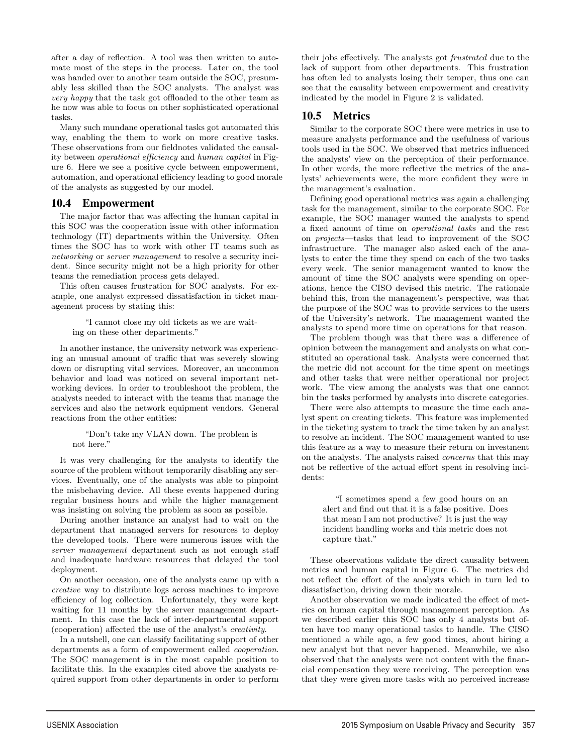after a day of reflection. A tool was then written to automate most of the steps in the process. Later on, the tool was handed over to another team outside the SOC, presumably less skilled than the SOC analysts. The analyst was very happy that the task got offloaded to the other team as he now was able to focus on other sophisticated operational tasks.

Many such mundane operational tasks got automated this way, enabling the them to work on more creative tasks. These observations from our fieldnotes validated the causality between operational efficiency and human capital in Figure 6. Here we see a positive cycle between empowerment, automation, and operational efficiency leading to good morale of the analysts as suggested by our model.

#### 10.4 Empowerment

The major factor that was affecting the human capital in this SOC was the cooperation issue with other information technology (IT) departments within the University. Often times the SOC has to work with other IT teams such as networking or server management to resolve a security incident. Since security might not be a high priority for other teams the remediation process gets delayed.

This often causes frustration for SOC analysts. For example, one analyst expressed dissatisfaction in ticket management process by stating this:

"I cannot close my old tickets as we are waiting on these other departments."

In another instance, the university network was experiencing an unusual amount of traffic that was severely slowing down or disrupting vital services. Moreover, an uncommon behavior and load was noticed on several important networking devices. In order to troubleshoot the problem, the analysts needed to interact with the teams that manage the services and also the network equipment vendors. General reactions from the other entities:

#### "Don't take my VLAN down. The problem is not here."

It was very challenging for the analysts to identify the source of the problem without temporarily disabling any services. Eventually, one of the analysts was able to pinpoint the misbehaving device. All these events happened during regular business hours and while the higher management was insisting on solving the problem as soon as possible.

During another instance an analyst had to wait on the department that managed servers for resources to deploy the developed tools. There were numerous issues with the server management department such as not enough staff and inadequate hardware resources that delayed the tool deployment.

On another occasion, one of the analysts came up with a creative way to distribute logs across machines to improve efficiency of log collection. Unfortunately, they were kept waiting for 11 months by the server management department. In this case the lack of inter-departmental support (cooperation) affected the use of the analyst's creativity.

In a nutshell, one can classify facilitating support of other departments as a form of empowerment called cooperation. The SOC management is in the most capable position to facilitate this. In the examples cited above the analysts required support from other departments in order to perform

11

their jobs effectively. The analysts got frustrated due to the lack of support from other departments. This frustration has often led to analysts losing their temper, thus one can see that the causality between empowerment and creativity indicated by the model in Figure 2 is validated.

# 10.5 Metrics

Similar to the corporate SOC there were metrics in use to measure analysts performance and the usefulness of various tools used in the SOC. We observed that metrics influenced the analysts' view on the perception of their performance. In other words, the more reflective the metrics of the analysts' achievements were, the more confident they were in the management's evaluation.

Defining good operational metrics was again a challenging task for the management, similar to the corporate SOC. For example, the SOC manager wanted the analysts to spend a fixed amount of time on operational tasks and the rest on projects—tasks that lead to improvement of the SOC infrastructure. The manager also asked each of the analysts to enter the time they spend on each of the two tasks every week. The senior management wanted to know the amount of time the SOC analysts were spending on operations, hence the CISO devised this metric. The rationale behind this, from the management's perspective, was that the purpose of the SOC was to provide services to the users of the University's network. The management wanted the analysts to spend more time on operations for that reason.

The problem though was that there was a difference of opinion between the management and analysts on what constituted an operational task. Analysts were concerned that the metric did not account for the time spent on meetings and other tasks that were neither operational nor project work. The view among the analysts was that one cannot bin the tasks performed by analysts into discrete categories.

There were also attempts to measure the time each analyst spent on creating tickets. This feature was implemented in the ticketing system to track the time taken by an analyst to resolve an incident. The SOC management wanted to use this feature as a way to measure their return on investment on the analysts. The analysts raised concerns that this may not be reflective of the actual effort spent in resolving incidents:

"I sometimes spend a few good hours on an alert and find out that it is a false positive. Does that mean I am not productive? It is just the way incident handling works and this metric does not capture that."

These observations validate the direct causality between metrics and human capital in Figure 6. The metrics did not reflect the effort of the analysts which in turn led to dissatisfaction, driving down their morale.

Another observation we made indicated the effect of metrics on human capital through management perception. As we described earlier this SOC has only 4 analysts but often have too many operational tasks to handle. The CISO mentioned a while ago, a few good times, about hiring a new analyst but that never happened. Meanwhile, we also observed that the analysts were not content with the financial compensation they were receiving. The perception was that they were given more tasks with no perceived increase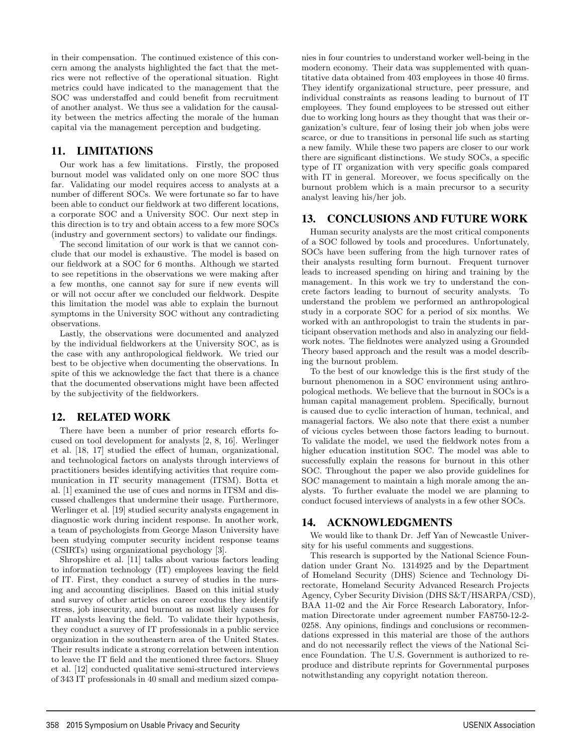in their compensation. The continued existence of this concern among the analysts highlighted the fact that the metrics were not reflective of the operational situation. Right metrics could have indicated to the management that the SOC was understaffed and could benefit from recruitment of another analyst. We thus see a validation for the causality between the metrics affecting the morale of the human capital via the management perception and budgeting.

# 11. LIMITATIONS

Our work has a few limitations. Firstly, the proposed burnout model was validated only on one more SOC thus far. Validating our model requires access to analysts at a number of different SOCs. We were fortunate so far to have been able to conduct our fieldwork at two different locations, a corporate SOC and a University SOC. Our next step in this direction is to try and obtain access to a few more SOCs (industry and government sectors) to validate our findings.

The second limitation of our work is that we cannot conclude that our model is exhaustive. The model is based on our fieldwork at a SOC for 6 months. Although we started to see repetitions in the observations we were making after a few months, one cannot say for sure if new events will or will not occur after we concluded our fieldwork. Despite this limitation the model was able to explain the burnout symptoms in the University SOC without any contradicting observations.

Lastly, the observations were documented and analyzed by the individual fieldworkers at the University SOC, as is the case with any anthropological fieldwork. We tried our best to be objective when documenting the observations. In spite of this we acknowledge the fact that there is a chance that the documented observations might have been affected by the subjectivity of the fieldworkers.

### 12. RELATED WORK

There have been a number of prior research efforts focused on tool development for analysts [2, 8, 16]. Werlinger et al. [18, 17] studied the effect of human, organizational, and technological factors on analysts through interviews of practitioners besides identifying activities that require communication in IT security management (ITSM). Botta et al. [1] examined the use of cues and norms in ITSM and discussed challenges that undermine their usage. Furthermore, Werlinger et al. [19] studied security analysts engagement in diagnostic work during incident response. In another work, a team of psychologists from George Mason University have been studying computer security incident response teams (CSIRTs) using organizational psychology [3].

Shropshire et al. [11] talks about various factors leading to information technology (IT) employees leaving the field of IT. First, they conduct a survey of studies in the nursing and accounting disciplines. Based on this initial study and survey of other articles on career exodus they identify stress, job insecurity, and burnout as most likely causes for IT analysts leaving the field. To validate their hypothesis, they conduct a survey of IT professionals in a public service organization in the southeastern area of the United States. Their results indicate a strong correlation between intention to leave the IT field and the mentioned three factors. Shuey et al. [12] conducted qualitative semi-structured interviews of 343 IT professionals in 40 small and medium sized companies in four countries to understand worker well-being in the modern economy. Their data was supplemented with quantitative data obtained from 403 employees in those 40 firms. They identify organizational structure, peer pressure, and individual constraints as reasons leading to burnout of IT employees. They found employees to be stressed out either due to working long hours as they thought that was their organization's culture, fear of losing their job when jobs were scarce, or due to transitions in personal life such as starting a new family. While these two papers are closer to our work there are significant distinctions. We study SOCs, a specific type of IT organization with very specific goals compared with IT in general. Moreover, we focus specifically on the burnout problem which is a main precursor to a security analyst leaving his/her job.

# 13. CONCLUSIONS AND FUTURE WORK

Human security analysts are the most critical components of a SOC followed by tools and procedures. Unfortunately, SOCs have been suffering from the high turnover rates of their analysts resulting form burnout. Frequent turnover leads to increased spending on hiring and training by the management. In this work we try to understand the concrete factors leading to burnout of security analysts. To understand the problem we performed an anthropological study in a corporate SOC for a period of six months. We worked with an anthropologist to train the students in participant observation methods and also in analyzing our fieldwork notes. The fieldnotes were analyzed using a Grounded Theory based approach and the result was a model describing the burnout problem.

To the best of our knowledge this is the first study of the burnout phenomenon in a SOC environment using anthropological methods. We believe that the burnout in SOCs is a human capital management problem. Specifically, burnout is caused due to cyclic interaction of human, technical, and managerial factors. We also note that there exist a number of vicious cycles between those factors leading to burnout. To validate the model, we used the fieldwork notes from a higher education institution SOC. The model was able to successfully explain the reasons for burnout in this other SOC. Throughout the paper we also provide guidelines for SOC management to maintain a high morale among the analysts. To further evaluate the model we are planning to conduct focused interviews of analysts in a few other SOCs.

### 14. ACKNOWLEDGMENTS

12

We would like to thank Dr. Jeff Yan of Newcastle University for his useful comments and suggestions.

This research is supported by the National Science Foundation under Grant No. 1314925 and by the Department of Homeland Security (DHS) Science and Technology Directorate, Homeland Security Advanced Research Projects Agency, Cyber Security Division (DHS S&T/HSARPA/CSD), BAA 11-02 and the Air Force Research Laboratory, Information Directorate under agreement number FA8750-12-2- 0258. Any opinions, findings and conclusions or recommendations expressed in this material are those of the authors and do not necessarily reflect the views of the National Science Foundation. The U.S. Government is authorized to reproduce and distribute reprints for Governmental purposes notwithstanding any copyright notation thereon.